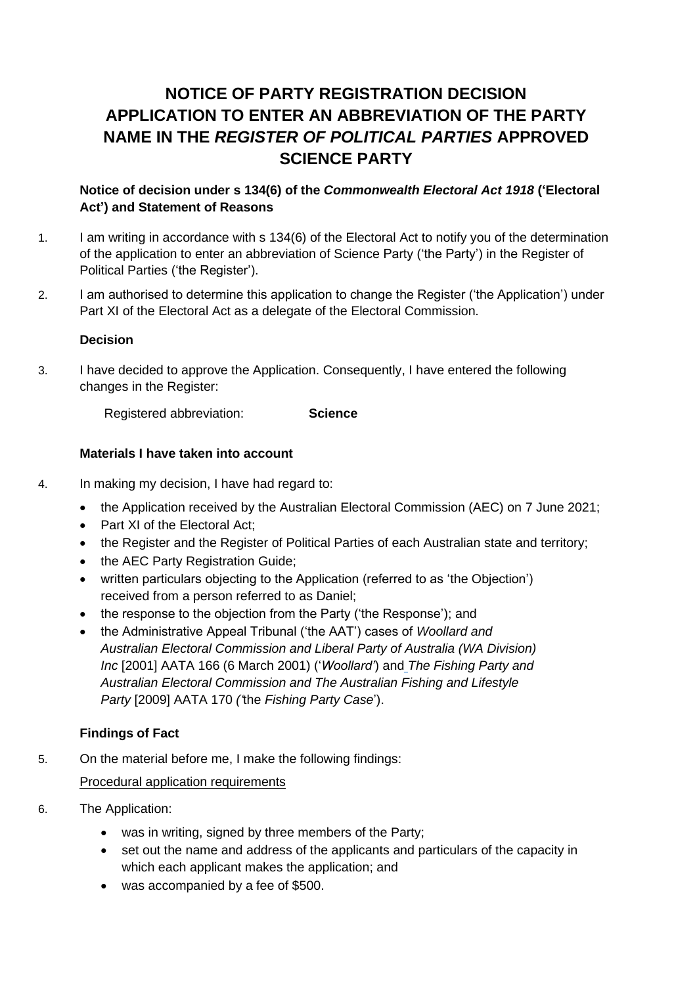# **NOTICE OF PARTY REGISTRATION DECISION APPLICATION TO ENTER AN ABBREVIATION OF THE PARTY NAME IN THE** *REGISTER OF POLITICAL PARTIES* **APPROVED SCIENCE PARTY**

# **Notice of decision under s 134(6) of the** *Commonwealth Electoral Act 1918* **('Electoral Act') and Statement of Reasons**

- 1. I am writing in accordance with s 134(6) of the Electoral Act to notify you of the determination of the application to enter an abbreviation of Science Party ('the Party') in the Register of Political Parties ('the Register').
- 2. I am authorised to determine this application to change the Register ('the Application') under Part XI of the Electoral Act as a delegate of the Electoral Commission.

## **Decision**

3. I have decided to approve the Application. Consequently, I have entered the following changes in the Register:

Registered abbreviation: **Science**

# **Materials I have taken into account**

- 4. In making my decision, I have had regard to:
	- the Application received by the Australian Electoral Commission (AEC) on 7 June 2021:
	- Part XI of the Electoral Act:
	- the Register and the Register of Political Parties of each Australian state and territory;
	- the AEC Party Registration Guide;
	- written particulars objecting to the Application (referred to as 'the Objection') received from a person referred to as Daniel;
	- the response to the objection from the Party ('the Response'); and
	- the Administrative Appeal Tribunal ('the AAT') cases of *Woollard and Australian Electoral Commission and Liberal Party of Australia (WA Division) Inc* [2001] AATA 166 (6 March 2001) ('*Woollard'*) and *The Fishing Party and Australian Electoral Commission and The Australian Fishing and Lifestyle Party* [2009] AATA 170 *('*the *[Fishing Party](http://www6.austlii.edu.au/cgi-bin/viewdoc/au/cases/cth/AATA/2009/170.html) Case*').

#### **Findings of Fact**

5. On the material before me, I make the following findings:

Procedural application requirements

- 6. The Application:
	- was in writing, signed by three members of the Party;
	- set out the name and address of the applicants and particulars of the capacity in which each applicant makes the application; and
	- was accompanied by a fee of \$500.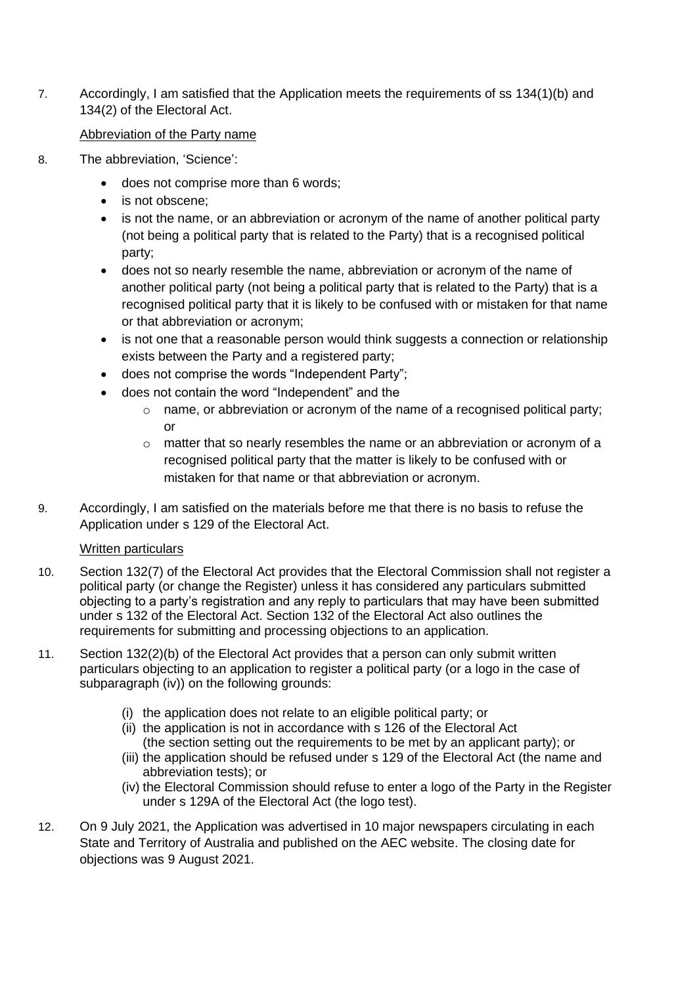7. Accordingly, I am satisfied that the Application meets the requirements of ss 134(1)(b) and 134(2) of the Electoral Act.

## Abbreviation of the Party name

- 8. The abbreviation, 'Science':
	- does not comprise more than 6 words;
	- is not obscene:
	- is not the name, or an abbreviation or acronym of the name of another political party (not being a political party that is related to the Party) that is a recognised political party;
	- does not so nearly resemble the name, abbreviation or acronym of the name of another political party (not being a political party that is related to the Party) that is a recognised political party that it is likely to be confused with or mistaken for that name or that abbreviation or acronym;
	- is not one that a reasonable person would think suggests a connection or relationship exists between the Party and a registered party;
	- does not comprise the words "Independent Party";
	- does not contain the word "Independent" and the
		- $\circ$  name, or abbreviation or acronym of the name of a recognised political party; or
		- $\circ$  matter that so nearly resembles the name or an abbreviation or acronym of a recognised political party that the matter is likely to be confused with or mistaken for that name or that abbreviation or acronym.
- 9. Accordingly, I am satisfied on the materials before me that there is no basis to refuse the Application under s 129 of the Electoral Act.

# Written particulars

- 10. Section 132(7) of the Electoral Act provides that the Electoral Commission shall not register a political party (or change the Register) unless it has considered any particulars submitted objecting to a party's registration and any reply to particulars that may have been submitted under s 132 of the Electoral Act. Section 132 of the Electoral Act also outlines the requirements for submitting and processing objections to an application.
- 11. Section 132(2)(b) of the Electoral Act provides that a person can only submit written particulars objecting to an application to register a political party (or a logo in the case of subparagraph (iv)) on the following grounds:
	- (i) the application does not relate to an eligible political party; or
	- (ii) the application is not in accordance with s 126 of the Electoral Act (the section setting out the requirements to be met by an applicant party); or
	- (iii) the application should be refused under s 129 of the Electoral Act (the name and abbreviation tests); or
	- (iv) the Electoral Commission should refuse to enter a logo of the Party in the Register under s 129A of the Electoral Act (the logo test).
- 12. On 9 July 2021, the Application was advertised in 10 major newspapers circulating in each State and Territory of Australia and published on the AEC website. The closing date for objections was 9 August 2021.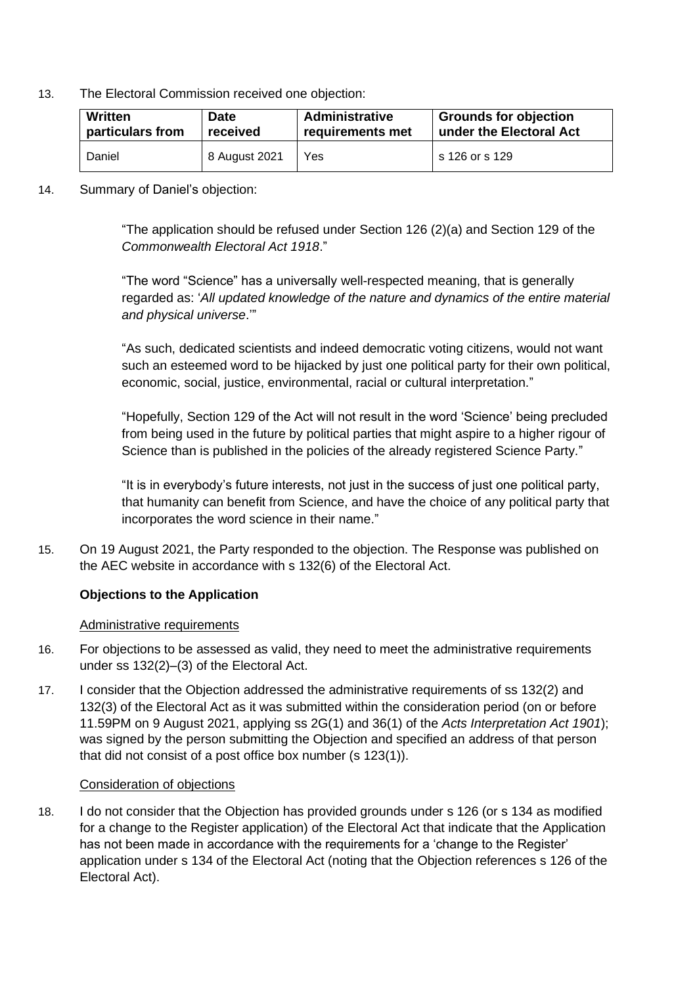13. The Electoral Commission received one objection:

| Written          | <b>Date</b>   | <b>Administrative</b> | <b>Grounds for objection</b> |
|------------------|---------------|-----------------------|------------------------------|
| particulars from | received      | requirements met      | under the Electoral Act      |
| Daniel           | 8 August 2021 | Yes                   | s 126 or s 129               |

14. Summary of Daniel's objection:

"The application should be refused under Section 126 (2)(a) and Section 129 of the *Commonwealth Electoral Act 1918*."

"The word "Science" has a universally well-respected meaning, that is generally regarded as: '*All updated knowledge of the nature and dynamics of the entire material and physical universe*.'"

"As such, dedicated scientists and indeed democratic voting citizens, would not want such an esteemed word to be hijacked by just one political party for their own political, economic, social, justice, environmental, racial or cultural interpretation."

"Hopefully, Section 129 of the Act will not result in the word 'Science' being precluded from being used in the future by political parties that might aspire to a higher rigour of Science than is published in the policies of the already registered Science Party."

"It is in everybody's future interests, not just in the success of just one political party, that humanity can benefit from Science, and have the choice of any political party that incorporates the word science in their name."

15. On 19 August 2021, the Party responded to the objection. The Response was published on the AEC website in accordance with s 132(6) of the Electoral Act.

# **Objections to the Application**

#### Administrative requirements

- 16. For objections to be assessed as valid, they need to meet the administrative requirements under ss 132(2)–(3) of the Electoral Act.
- 17. I consider that the Objection addressed the administrative requirements of ss 132(2) and 132(3) of the Electoral Act as it was submitted within the consideration period (on or before 11.59PM on 9 August 2021, applying ss 2G(1) and 36(1) of the *Acts Interpretation Act 1901*); was signed by the person submitting the Objection and specified an address of that person that did not consist of a post office box number (s 123(1)).

#### Consideration of objections

18. I do not consider that the Objection has provided grounds under s 126 (or s 134 as modified for a change to the Register application) of the Electoral Act that indicate that the Application has not been made in accordance with the requirements for a 'change to the Register' application under s 134 of the Electoral Act (noting that the Objection references s 126 of the Electoral Act).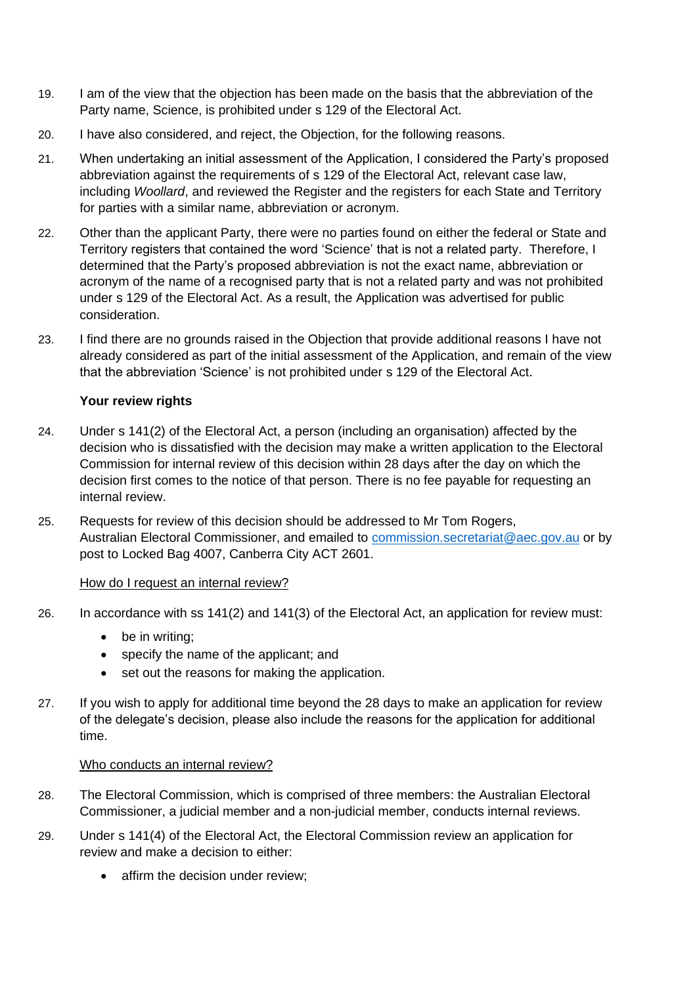- 19. I am of the view that the objection has been made on the basis that the abbreviation of the Party name, Science, is prohibited under s 129 of the Electoral Act.
- 20. I have also considered, and reject, the Objection, for the following reasons.
- 21. When undertaking an initial assessment of the Application, I considered the Party's proposed abbreviation against the requirements of s 129 of the Electoral Act, relevant case law, including *Woollard*, and reviewed the Register and the registers for each State and Territory for parties with a similar name, abbreviation or acronym.
- 22. Other than the applicant Party, there were no parties found on either the federal or State and Territory registers that contained the word 'Science' that is not a related party. Therefore, I determined that the Party's proposed abbreviation is not the exact name, abbreviation or acronym of the name of a recognised party that is not a related party and was not prohibited under s 129 of the Electoral Act. As a result, the Application was advertised for public consideration.
- 23. I find there are no grounds raised in the Objection that provide additional reasons I have not already considered as part of the initial assessment of the Application, and remain of the view that the abbreviation 'Science' is not prohibited under s 129 of the Electoral Act.

## **Your review rights**

- 24. Under s 141(2) of the Electoral Act, a person (including an organisation) affected by the decision who is dissatisfied with the decision may make a written application to the Electoral Commission for internal review of this decision within 28 days after the day on which the decision first comes to the notice of that person. There is no fee payable for requesting an internal review.
- 25. Requests for review of this decision should be addressed to Mr Tom Rogers, Australian Electoral Commissioner, and emailed to [commission.secretariat@aec.gov.au](mailto:commission.secretariat@aec.gov.au) or by post to Locked Bag 4007, Canberra City ACT 2601.

## How do I request an internal review?

- 26. In accordance with ss 141(2) and 141(3) of the Electoral Act, an application for review must:
	- be in writing:
	- specify the name of the applicant; and
	- set out the reasons for making the application.
- 27. If you wish to apply for additional time beyond the 28 days to make an application for review of the delegate's decision, please also include the reasons for the application for additional time.

#### Who conducts an internal review?

- 28. The Electoral Commission, which is comprised of three members: the Australian Electoral Commissioner, a judicial member and a non-judicial member, conducts internal reviews.
- 29. Under s 141(4) of the Electoral Act, the Electoral Commission review an application for review and make a decision to either:
	- affirm the decision under review;